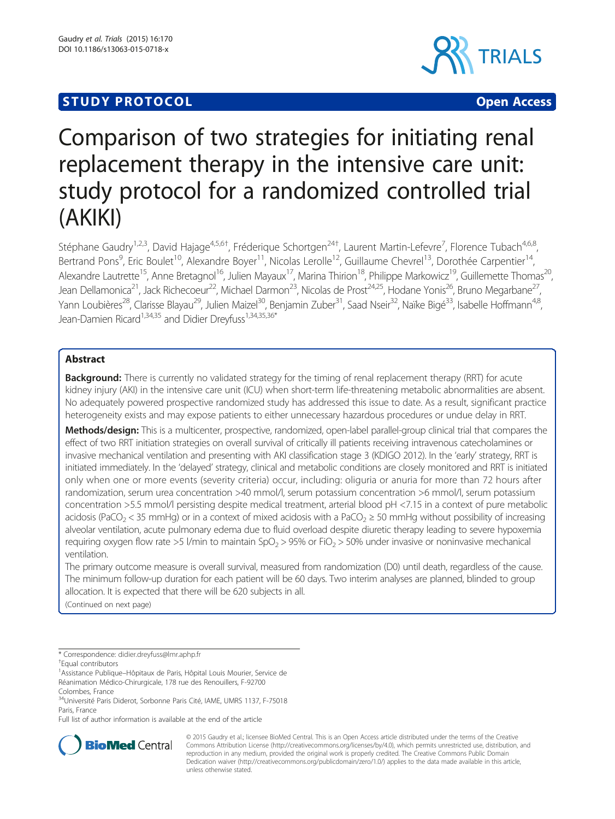# **STUDY PROTOCOL CONSUMING THE CONSUMING OPEN ACCESS**



# Comparison of two strategies for initiating renal replacement therapy in the intensive care unit: study protocol for a randomized controlled trial (AKIKI)

Stéphane Gaudry<sup>1,2,3</sup>, David Hajage<sup>4,5,6†</sup>, Fréderique Schortgen<sup>24†</sup>, Laurent Martin-Lefevre<sup>7</sup>, Florence Tubach<sup>4,6,8</sup>, Bertrand Pons<sup>9</sup>, Eric Boulet<sup>10</sup>, Alexandre Boyer<sup>11</sup>, Nicolas Lerolle<sup>12</sup>, Guillaume Chevrel<sup>13</sup>, Dorothée Carpentier<sup>14</sup>, Alexandre Lautrette<sup>15</sup>, Anne Bretagnol<sup>16</sup>, Julien Mayaux<sup>17</sup>, Marina Thirion<sup>18</sup>, Philippe Markowicz<sup>19</sup>, Guillemette Thomas<sup>20</sup>, Jean Dellamonica<sup>21</sup>, Jack Richecoeur<sup>22</sup>, Michael Darmon<sup>23</sup>, Nicolas de Prost<sup>24,25</sup>, Hodane Yonis<sup>26</sup>, Bruno Megarbane<sup>27</sup>, Yann Loubières<sup>28</sup>, Clarisse Blayau<sup>29</sup>, Julien Maizel<sup>30</sup>, Benjamin Zuber<sup>31</sup>, Saad Nseir<sup>32</sup>, Naïke Bigé<sup>33</sup>, Isabelle Hoffmann<sup>4,8</sup>, Jean-Damien Ricard<sup>1,34,35</sup> and Didier Dreyfuss<sup>1,34,35,36\*</sup>

## Abstract

Background: There is currently no validated strategy for the timing of renal replacement therapy (RRT) for acute kidney injury (AKI) in the intensive care unit (ICU) when short-term life-threatening metabolic abnormalities are absent. No adequately powered prospective randomized study has addressed this issue to date. As a result, significant practice heterogeneity exists and may expose patients to either unnecessary hazardous procedures or undue delay in RRT.

Methods/design: This is a multicenter, prospective, randomized, open-label parallel-group clinical trial that compares the effect of two RRT initiation strategies on overall survival of critically ill patients receiving intravenous catecholamines or invasive mechanical ventilation and presenting with AKI classification stage 3 (KDIGO 2012). In the 'early' strategy, RRT is initiated immediately. In the 'delayed' strategy, clinical and metabolic conditions are closely monitored and RRT is initiated only when one or more events (severity criteria) occur, including: oliguria or anuria for more than 72 hours after randomization, serum urea concentration >40 mmol/l, serum potassium concentration >6 mmol/l, serum potassium concentration >5.5 mmol/l persisting despite medical treatment, arterial blood pH <7.15 in a context of pure metabolic acidosis (PaCO<sub>2</sub> < 35 mmHg) or in a context of mixed acidosis with a PaCO<sub>2</sub> ≥ 50 mmHg without possibility of increasing alveolar ventilation, acute pulmonary edema due to fluid overload despite diuretic therapy leading to severe hypoxemia requiring oxygen flow rate >5 l/min to maintain  $SpO<sub>2</sub>$  > 95% or FiO<sub>2</sub> > 50% under invasive or noninvasive mechanical ventilation.

The primary outcome measure is overall survival, measured from randomization (D0) until death, regardless of the cause. The minimum follow-up duration for each patient will be 60 days. Two interim analyses are planned, blinded to group allocation. It is expected that there will be 620 subjects in all.

(Continued on next page)

Full list of author information is available at the end of the article



© 2015 Gaudry et al.; licensee BioMed Central. This is an Open Access article distributed under the terms of the Creative Commons Attribution License [\(http://creativecommons.org/licenses/by/4.0\)](http://creativecommons.org/licenses/by/4.0), which permits unrestricted use, distribution, and reproduction in any medium, provided the original work is properly credited. The Creative Commons Public Domain Dedication waiver [\(http://creativecommons.org/publicdomain/zero/1.0/](http://creativecommons.org/publicdomain/zero/1.0/)) applies to the data made available in this article, unless otherwise stated.

<sup>\*</sup> Correspondence: [didier.dreyfuss@lmr.aphp.fr](mailto:didier.dreyfuss@lmr.aphp.fr) †

Equal contributors

<sup>1</sup> Assistance Publique–Hôpitaux de Paris, Hôpital Louis Mourier, Service de Réanimation Médico-Chirurgicale, 178 rue des Renouillers, F-92700 Colombes, France

<sup>&</sup>lt;sup>34</sup>Université Paris Diderot, Sorbonne Paris Cité, IAME, UMRS 1137, F-75018 Paris, France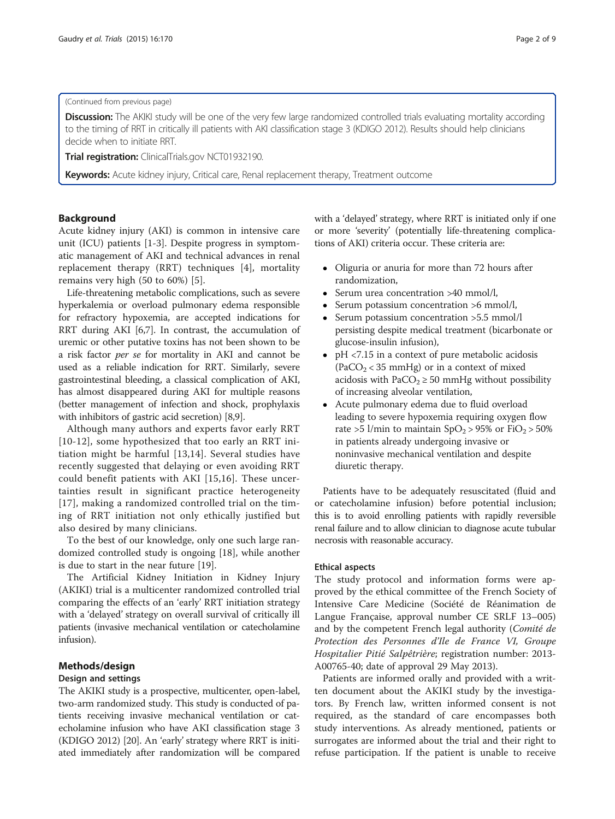## (Continued from previous page)

Discussion: The AKIKI study will be one of the very few large randomized controlled trials evaluating mortality according to the timing of RRT in critically ill patients with AKI classification stage 3 (KDIGO 2012). Results should help clinicians decide when to initiate RRT.

Trial registration: ClinicalTrials.gov [NCT01932190](https://clinicaltrials.gov/ct2/show/NCT01932190?term=dreyfuss&rank=1).

Keywords: Acute kidney injury, Critical care, Renal replacement therapy, Treatment outcome

## Background

Acute kidney injury (AKI) is common in intensive care unit (ICU) patients [[1-3](#page-7-0)]. Despite progress in symptomatic management of AKI and technical advances in renal replacement therapy (RRT) techniques [\[4](#page-7-0)], mortality remains very high (50 to 60%) [\[5](#page-7-0)].

Life-threatening metabolic complications, such as severe hyperkalemia or overload pulmonary edema responsible for refractory hypoxemia, are accepted indications for RRT during AKI [\[6,7\]](#page-7-0). In contrast, the accumulation of uremic or other putative toxins has not been shown to be a risk factor per se for mortality in AKI and cannot be used as a reliable indication for RRT. Similarly, severe gastrointestinal bleeding, a classical complication of AKI, has almost disappeared during AKI for multiple reasons (better management of infection and shock, prophylaxis with inhibitors of gastric acid secretion) [[8,9](#page-7-0)].

Although many authors and experts favor early RRT [[10](#page-7-0)-[12](#page-7-0)], some hypothesized that too early an RRT initiation might be harmful [[13,14](#page-7-0)]. Several studies have recently suggested that delaying or even avoiding RRT could benefit patients with AKI [[15,16](#page-7-0)]. These uncertainties result in significant practice heterogeneity [[17](#page-7-0)], making a randomized controlled trial on the timing of RRT initiation not only ethically justified but also desired by many clinicians.

To the best of our knowledge, only one such large randomized controlled study is ongoing [\[18](#page-7-0)], while another is due to start in the near future [[19](#page-7-0)].

The Artificial Kidney Initiation in Kidney Injury (AKIKI) trial is a multicenter randomized controlled trial comparing the effects of an 'early' RRT initiation strategy with a 'delayed' strategy on overall survival of critically ill patients (invasive mechanical ventilation or catecholamine infusion).

## Methods/design

#### Design and settings

The AKIKI study is a prospective, multicenter, open-label, two-arm randomized study. This study is conducted of patients receiving invasive mechanical ventilation or catecholamine infusion who have AKI classification stage 3 (KDIGO 2012) [\[20](#page-7-0)]. An 'early' strategy where RRT is initiated immediately after randomization will be compared with a 'delayed' strategy, where RRT is initiated only if one or more 'severity' (potentially life-threatening complications of AKI) criteria occur. These criteria are:

- Oliguria or anuria for more than 72 hours after randomization,
- Serum urea concentration >40 mmol/l,
- Serum potassium concentration >6 mmol/l,
- Serum potassium concentration > 5.5 mmol/l persisting despite medical treatment (bicarbonate or glucose-insulin infusion),
- $\bullet$  pH <7.15 in a context of pure metabolic acidosis  $(PaCO<sub>2</sub> < 35$  mmHg) or in a context of mixed acidosis with  $PaCO<sub>2</sub> \ge 50$  mmHg without possibility of increasing alveolar ventilation,
- Acute pulmonary edema due to fluid overload leading to severe hypoxemia requiring oxygen flow rate >5 l/min to maintain  $SpO<sub>2</sub>$  > 95% or  $FiO<sub>2</sub>$  > 50% in patients already undergoing invasive or noninvasive mechanical ventilation and despite diuretic therapy.

Patients have to be adequately resuscitated (fluid and or catecholamine infusion) before potential inclusion; this is to avoid enrolling patients with rapidly reversible renal failure and to allow clinician to diagnose acute tubular necrosis with reasonable accuracy.

## Ethical aspects

The study protocol and information forms were approved by the ethical committee of the French Society of Intensive Care Medicine (Société de Réanimation de Langue Française, approval number CE SRLF 13–005) and by the competent French legal authority (Comité de Protection des Personnes d'Ile de France VI, Groupe Hospitalier Pitié Salpêtrière; registration number: 2013- A00765-40; date of approval 29 May 2013).

Patients are informed orally and provided with a written document about the AKIKI study by the investigators. By French law, written informed consent is not required, as the standard of care encompasses both study interventions. As already mentioned, patients or surrogates are informed about the trial and their right to refuse participation. If the patient is unable to receive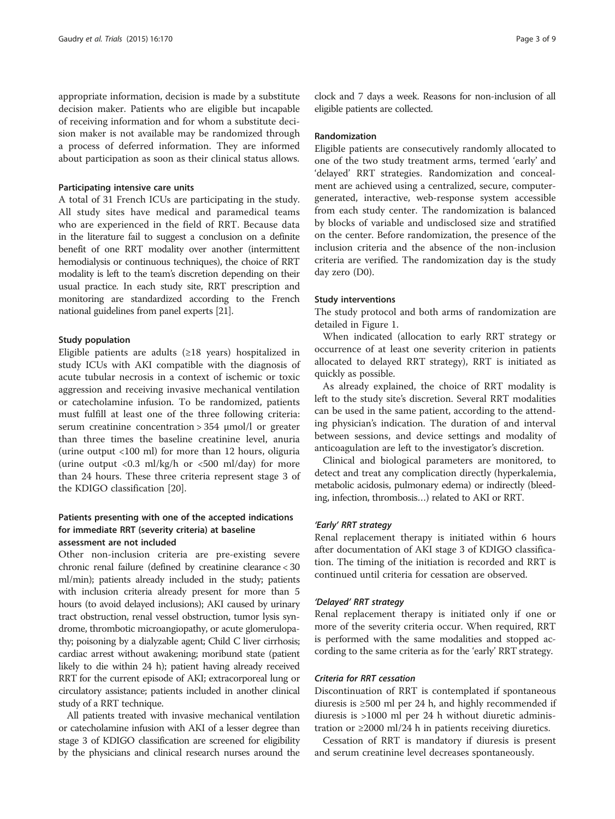appropriate information, decision is made by a substitute decision maker. Patients who are eligible but incapable of receiving information and for whom a substitute decision maker is not available may be randomized through a process of deferred information. They are informed about participation as soon as their clinical status allows.

#### Participating intensive care units

A total of 31 French ICUs are participating in the study. All study sites have medical and paramedical teams who are experienced in the field of RRT. Because data in the literature fail to suggest a conclusion on a definite benefit of one RRT modality over another (intermittent hemodialysis or continuous techniques), the choice of RRT modality is left to the team's discretion depending on their usual practice. In each study site, RRT prescription and monitoring are standardized according to the French national guidelines from panel experts [[21](#page-7-0)].

#### Study population

Eligible patients are adults (≥18 years) hospitalized in study ICUs with AKI compatible with the diagnosis of acute tubular necrosis in a context of ischemic or toxic aggression and receiving invasive mechanical ventilation or catecholamine infusion. To be randomized, patients must fulfill at least one of the three following criteria: serum creatinine concentration > 354 μmol/l or greater than three times the baseline creatinine level, anuria (urine output <100 ml) for more than 12 hours, oliguria (urine output <0.3 ml/kg/h or  $<500$  ml/day) for more than 24 hours. These three criteria represent stage 3 of the KDIGO classification [[20](#page-7-0)].

## Patients presenting with one of the accepted indications for immediate RRT (severity criteria) at baseline assessment are not included

## Other non-inclusion criteria are pre-existing severe chronic renal failure (defined by creatinine clearance < 30 ml/min); patients already included in the study; patients with inclusion criteria already present for more than 5 hours (to avoid delayed inclusions); AKI caused by urinary tract obstruction, renal vessel obstruction, tumor lysis syndrome, thrombotic microangiopathy, or acute glomerulopathy; poisoning by a dialyzable agent; Child C liver cirrhosis; cardiac arrest without awakening; moribund state (patient likely to die within 24 h); patient having already received RRT for the current episode of AKI; extracorporeal lung or circulatory assistance; patients included in another clinical study of a RRT technique.

All patients treated with invasive mechanical ventilation or catecholamine infusion with AKI of a lesser degree than stage 3 of KDIGO classification are screened for eligibility by the physicians and clinical research nurses around the clock and 7 days a week. Reasons for non-inclusion of all eligible patients are collected.

#### Randomization

Eligible patients are consecutively randomly allocated to one of the two study treatment arms, termed 'early' and 'delayed' RRT strategies. Randomization and concealment are achieved using a centralized, secure, computergenerated, interactive, web-response system accessible from each study center. The randomization is balanced by blocks of variable and undisclosed size and stratified on the center. Before randomization, the presence of the inclusion criteria and the absence of the non-inclusion criteria are verified. The randomization day is the study day zero (D0).

#### Study interventions

The study protocol and both arms of randomization are detailed in Figure [1](#page-3-0).

When indicated (allocation to early RRT strategy or occurrence of at least one severity criterion in patients allocated to delayed RRT strategy), RRT is initiated as quickly as possible.

As already explained, the choice of RRT modality is left to the study site's discretion. Several RRT modalities can be used in the same patient, according to the attending physician's indication. The duration of and interval between sessions, and device settings and modality of anticoagulation are left to the investigator's discretion.

Clinical and biological parameters are monitored, to detect and treat any complication directly (hyperkalemia, metabolic acidosis, pulmonary edema) or indirectly (bleeding, infection, thrombosis…) related to AKI or RRT.

#### 'Early' RRT strategy

Renal replacement therapy is initiated within 6 hours after documentation of AKI stage 3 of KDIGO classification. The timing of the initiation is recorded and RRT is continued until criteria for cessation are observed.

#### 'Delayed' RRT strategy

Renal replacement therapy is initiated only if one or more of the severity criteria occur. When required, RRT is performed with the same modalities and stopped according to the same criteria as for the 'early' RRT strategy.

## Criteria for RRT cessation

Discontinuation of RRT is contemplated if spontaneous diuresis is ≥500 ml per 24 h, and highly recommended if diuresis is >1000 ml per 24 h without diuretic administration or  $\geq 2000$  ml/24 h in patients receiving diuretics.

Cessation of RRT is mandatory if diuresis is present and serum creatinine level decreases spontaneously.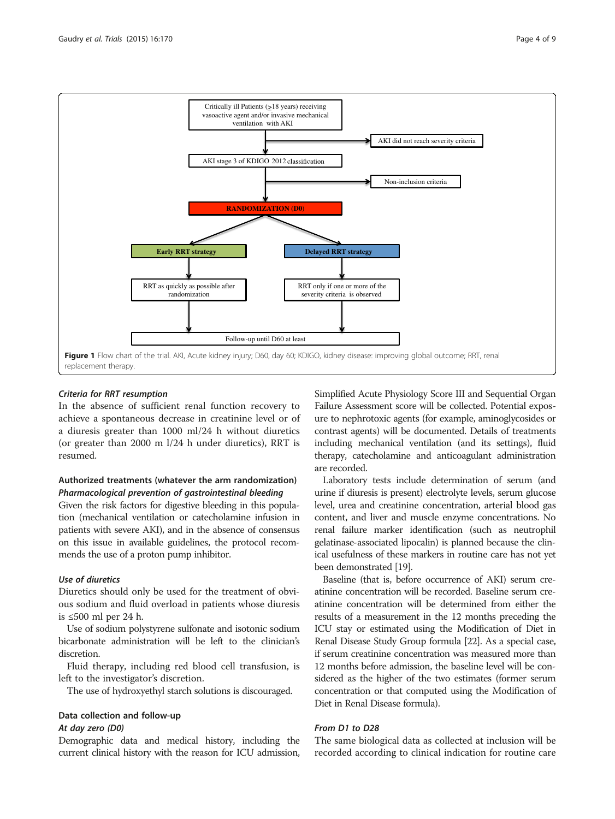<span id="page-3-0"></span>

#### Criteria for RRT resumption

In the absence of sufficient renal function recovery to achieve a spontaneous decrease in creatinine level or of a diuresis greater than 1000 ml/24 h without diuretics (or greater than 2000 m l/24 h under diuretics), RRT is resumed.

## Authorized treatments (whatever the arm randomization) Pharmacological prevention of gastrointestinal bleeding

Given the risk factors for digestive bleeding in this population (mechanical ventilation or catecholamine infusion in patients with severe AKI), and in the absence of consensus on this issue in available guidelines, the protocol recommends the use of a proton pump inhibitor.

## Use of diuretics

Diuretics should only be used for the treatment of obvious sodium and fluid overload in patients whose diuresis is ≤500 ml per 24 h.

Use of sodium polystyrene sulfonate and isotonic sodium bicarbonate administration will be left to the clinician's discretion.

Fluid therapy, including red blood cell transfusion, is left to the investigator's discretion.

The use of hydroxyethyl starch solutions is discouraged.

## Data collection and follow-up

## At day zero (D0)

Demographic data and medical history, including the current clinical history with the reason for ICU admission, Simplified Acute Physiology Score III and Sequential Organ Failure Assessment score will be collected. Potential exposure to nephrotoxic agents (for example, aminoglycosides or contrast agents) will be documented. Details of treatments including mechanical ventilation (and its settings), fluid therapy, catecholamine and anticoagulant administration are recorded.

Laboratory tests include determination of serum (and urine if diuresis is present) electrolyte levels, serum glucose level, urea and creatinine concentration, arterial blood gas content, and liver and muscle enzyme concentrations. No renal failure marker identification (such as neutrophil gelatinase-associated lipocalin) is planned because the clinical usefulness of these markers in routine care has not yet been demonstrated [\[19\]](#page-7-0).

Baseline (that is, before occurrence of AKI) serum creatinine concentration will be recorded. Baseline serum creatinine concentration will be determined from either the results of a measurement in the 12 months preceding the ICU stay or estimated using the Modification of Diet in Renal Disease Study Group formula [[22](#page-8-0)]. As a special case, if serum creatinine concentration was measured more than 12 months before admission, the baseline level will be considered as the higher of the two estimates (former serum concentration or that computed using the Modification of Diet in Renal Disease formula).

#### From D1 to D28

The same biological data as collected at inclusion will be recorded according to clinical indication for routine care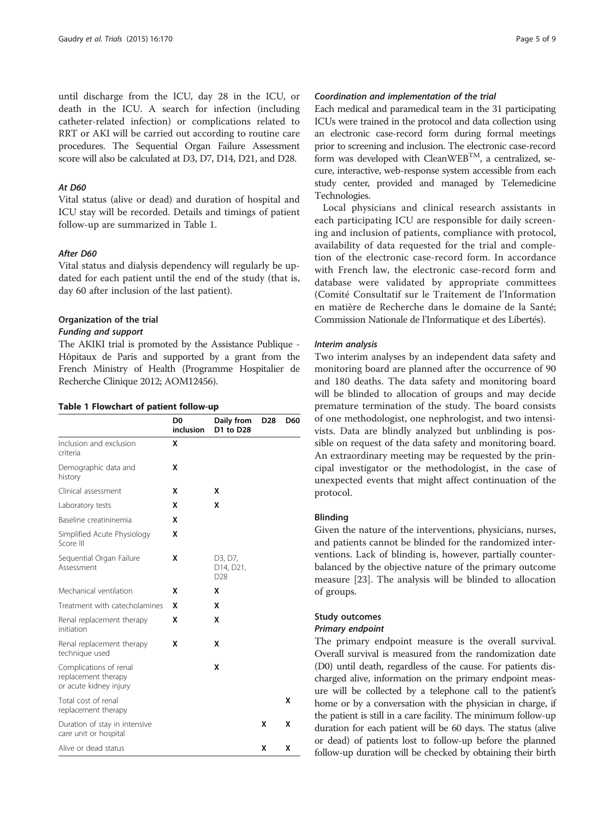until discharge from the ICU, day 28 in the ICU, or death in the ICU. A search for infection (including catheter-related infection) or complications related to RRT or AKI will be carried out according to routine care procedures. The Sequential Organ Failure Assessment score will also be calculated at D3, D7, D14, D21, and D28.

#### At D60

Vital status (alive or dead) and duration of hospital and ICU stay will be recorded. Details and timings of patient follow-up are summarized in Table 1.

## After D60

Vital status and dialysis dependency will regularly be updated for each patient until the end of the study (that is, day 60 after inclusion of the last patient).

#### Organization of the trial

#### Funding and support

The AKIKI trial is promoted by the Assistance Publique - Hôpitaux de Paris and supported by a grant from the French Ministry of Health (Programme Hospitalier de Recherche Clinique 2012; AOM12456).

#### Table 1 Flowchart of patient follow-up

|                                                                         | D0<br>inclusion | Daily from<br>D1 to D28                 | D <sub>28</sub> | D60 |
|-------------------------------------------------------------------------|-----------------|-----------------------------------------|-----------------|-----|
| Inclusion and exclusion<br>criteria                                     | X               |                                         |                 |     |
| Demographic data and<br>history                                         | x               |                                         |                 |     |
| Clinical assessment                                                     | x               | X                                       |                 |     |
| Laboratory tests                                                        | x               | x                                       |                 |     |
| Baseline creatininemia                                                  | x               |                                         |                 |     |
| Simplified Acute Physiology<br>Score III                                | X               |                                         |                 |     |
| Sequential Organ Failure<br>Assessment                                  | x               | D3, D7,<br>D14, D21,<br>D <sub>28</sub> |                 |     |
| Mechanical ventilation                                                  | x               | x                                       |                 |     |
| Treatment with catecholamines                                           | x               | x                                       |                 |     |
| Renal replacement therapy<br>initiation                                 | x               | X                                       |                 |     |
| Renal replacement therapy<br>technique used                             | x               | x                                       |                 |     |
| Complications of renal<br>replacement therapy<br>or acute kidney injury |                 | x                                       |                 |     |
| Total cost of renal<br>replacement therapy                              |                 |                                         |                 | x   |
| Duration of stay in intensive<br>care unit or hospital                  |                 |                                         | x               | x   |
| Alive or dead status                                                    |                 |                                         | X               | x   |

#### Coordination and implementation of the trial

Each medical and paramedical team in the 31 participating ICUs were trained in the protocol and data collection using an electronic case-record form during formal meetings prior to screening and inclusion. The electronic case-record form was developed with CleanWEB $^{TM}$ , a centralized, secure, interactive, web-response system accessible from each study center, provided and managed by Telemedicine Technologies.

Local physicians and clinical research assistants in each participating ICU are responsible for daily screening and inclusion of patients, compliance with protocol, availability of data requested for the trial and completion of the electronic case-record form. In accordance with French law, the electronic case-record form and database were validated by appropriate committees (Comité Consultatif sur le Traitement de l'Information en matière de Recherche dans le domaine de la Santé; Commission Nationale de l'Informatique et des Libertés).

#### Interim analysis

Two interim analyses by an independent data safety and monitoring board are planned after the occurrence of 90 and 180 deaths. The data safety and monitoring board will be blinded to allocation of groups and may decide premature termination of the study. The board consists of one methodologist, one nephrologist, and two intensivists. Data are blindly analyzed but unblinding is possible on request of the data safety and monitoring board. An extraordinary meeting may be requested by the principal investigator or the methodologist, in the case of unexpected events that might affect continuation of the protocol.

#### Blinding

Given the nature of the interventions, physicians, nurses, and patients cannot be blinded for the randomized interventions. Lack of blinding is, however, partially counterbalanced by the objective nature of the primary outcome measure [\[23\]](#page-8-0). The analysis will be blinded to allocation of groups.

## Study outcomes

## Primary endpoint

The primary endpoint measure is the overall survival. Overall survival is measured from the randomization date (D0) until death, regardless of the cause. For patients discharged alive, information on the primary endpoint measure will be collected by a telephone call to the patient's home or by a conversation with the physician in charge, if the patient is still in a care facility. The minimum follow-up duration for each patient will be 60 days. The status (alive or dead) of patients lost to follow-up before the planned follow-up duration will be checked by obtaining their birth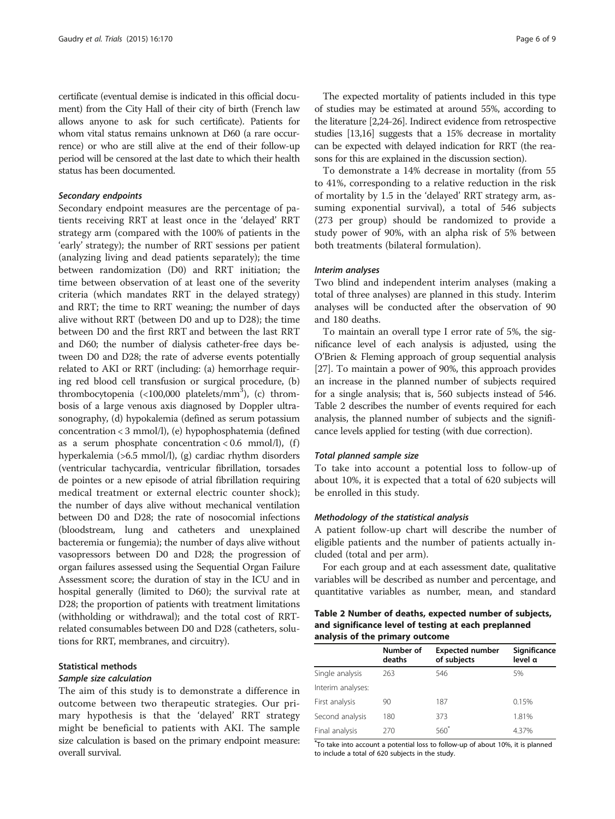certificate (eventual demise is indicated in this official document) from the City Hall of their city of birth (French law allows anyone to ask for such certificate). Patients for whom vital status remains unknown at D60 (a rare occurrence) or who are still alive at the end of their follow-up period will be censored at the last date to which their health status has been documented.

#### Secondary endpoints

Secondary endpoint measures are the percentage of patients receiving RRT at least once in the 'delayed' RRT strategy arm (compared with the 100% of patients in the 'early' strategy); the number of RRT sessions per patient (analyzing living and dead patients separately); the time between randomization (D0) and RRT initiation; the time between observation of at least one of the severity criteria (which mandates RRT in the delayed strategy) and RRT; the time to RRT weaning; the number of days alive without RRT (between D0 and up to D28); the time between D0 and the first RRT and between the last RRT and D60; the number of dialysis catheter-free days between D0 and D28; the rate of adverse events potentially related to AKI or RRT (including: (a) hemorrhage requiring red blood cell transfusion or surgical procedure, (b) thrombocytopenia (<100,000 platelets/mm<sup>3</sup>), (c) thrombosis of a large venous axis diagnosed by Doppler ultrasonography, (d) hypokalemia (defined as serum potassium concentration < 3 mmol/l), (e) hypophosphatemia (defined as a serum phosphate concentration < 0.6 mmol/l), (f) hyperkalemia (>6.5 mmol/l), (g) cardiac rhythm disorders (ventricular tachycardia, ventricular fibrillation, torsades de pointes or a new episode of atrial fibrillation requiring medical treatment or external electric counter shock); the number of days alive without mechanical ventilation between D0 and D28; the rate of nosocomial infections (bloodstream, lung and catheters and unexplained bacteremia or fungemia); the number of days alive without vasopressors between D0 and D28; the progression of organ failures assessed using the Sequential Organ Failure Assessment score; the duration of stay in the ICU and in hospital generally (limited to D60); the survival rate at D28; the proportion of patients with treatment limitations (withholding or withdrawal); and the total cost of RRTrelated consumables between D0 and D28 (catheters, solutions for RRT, membranes, and circuitry).

## Statistical methods

#### Sample size calculation

The aim of this study is to demonstrate a difference in outcome between two therapeutic strategies. Our primary hypothesis is that the 'delayed' RRT strategy might be beneficial to patients with AKI. The sample size calculation is based on the primary endpoint measure: overall survival.

The expected mortality of patients included in this type of studies may be estimated at around 55%, according to the literature [[2](#page-7-0)[,24-26](#page-8-0)]. Indirect evidence from retrospective studies [\[13,16\]](#page-7-0) suggests that a 15% decrease in mortality can be expected with delayed indication for RRT (the reasons for this are explained in the discussion section).

To demonstrate a 14% decrease in mortality (from 55 to 41%, corresponding to a relative reduction in the risk of mortality by 1.5 in the 'delayed' RRT strategy arm, assuming exponential survival), a total of 546 subjects (273 per group) should be randomized to provide a study power of 90%, with an alpha risk of 5% between both treatments (bilateral formulation).

#### Interim analyses

Two blind and independent interim analyses (making a total of three analyses) are planned in this study. Interim analyses will be conducted after the observation of 90 and 180 deaths.

To maintain an overall type I error rate of 5%, the significance level of each analysis is adjusted, using the O'Brien & Fleming approach of group sequential analysis [[27](#page-8-0)]. To maintain a power of 90%, this approach provides an increase in the planned number of subjects required for a single analysis; that is, 560 subjects instead of 546. Table 2 describes the number of events required for each analysis, the planned number of subjects and the significance levels applied for testing (with due correction).

#### Total planned sample size

To take into account a potential loss to follow-up of about 10%, it is expected that a total of 620 subjects will be enrolled in this study.

#### Methodology of the statistical analysis

A patient follow-up chart will describe the number of eligible patients and the number of patients actually included (total and per arm).

For each group and at each assessment date, qualitative variables will be described as number and percentage, and quantitative variables as number, mean, and standard

## Table 2 Number of deaths, expected number of subjects, and significance level of testing at each preplanned analysis of the primary outcome

|                   | Number of<br>deaths | <b>Expected number</b><br>of subjects | Significance<br>level a |
|-------------------|---------------------|---------------------------------------|-------------------------|
| Single analysis   | 263                 | 546                                   | 5%                      |
| Interim analyses: |                     |                                       |                         |
| First analysis    | 90                  | 187                                   | 0.15%                   |
| Second analysis   | 180                 | 373                                   | 1.81%                   |
| Final analysis    | 270                 | 560                                   | 4.37%                   |

\* To take into account a potential loss to follow-up of about 10%, it is planned to include a total of 620 subjects in the study.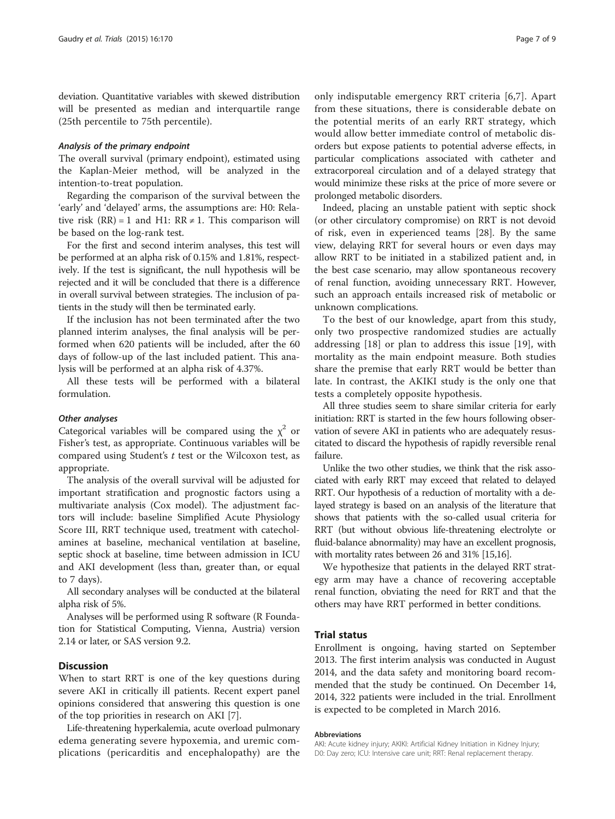deviation. Quantitative variables with skewed distribution will be presented as median and interquartile range (25th percentile to 75th percentile).

#### Analysis of the primary endpoint

The overall survival (primary endpoint), estimated using the Kaplan-Meier method, will be analyzed in the intention-to-treat population.

Regarding the comparison of the survival between the 'early' and 'delayed' arms, the assumptions are: H0: Relative risk (RR) = 1 and H1:  $RR \neq 1$ . This comparison will be based on the log-rank test.

For the first and second interim analyses, this test will be performed at an alpha risk of 0.15% and 1.81%, respectively. If the test is significant, the null hypothesis will be rejected and it will be concluded that there is a difference in overall survival between strategies. The inclusion of patients in the study will then be terminated early.

If the inclusion has not been terminated after the two planned interim analyses, the final analysis will be performed when 620 patients will be included, after the 60 days of follow-up of the last included patient. This analysis will be performed at an alpha risk of 4.37%.

All these tests will be performed with a bilateral formulation.

#### Other analyses

Categorical variables will be compared using the  $\chi^2$  or Fisher's test, as appropriate. Continuous variables will be compared using Student's  $t$  test or the Wilcoxon test, as appropriate.

The analysis of the overall survival will be adjusted for important stratification and prognostic factors using a multivariate analysis (Cox model). The adjustment factors will include: baseline Simplified Acute Physiology Score III, RRT technique used, treatment with catecholamines at baseline, mechanical ventilation at baseline, septic shock at baseline, time between admission in ICU and AKI development (less than, greater than, or equal to 7 days).

All secondary analyses will be conducted at the bilateral alpha risk of 5%.

Analyses will be performed using R software (R Foundation for Statistical Computing, Vienna, Austria) version 2.14 or later, or SAS version 9.2.

## **Discussion**

When to start RRT is one of the key questions during severe AKI in critically ill patients. Recent expert panel opinions considered that answering this question is one of the top priorities in research on AKI [[7\]](#page-7-0).

Life-threatening hyperkalemia, acute overload pulmonary edema generating severe hypoxemia, and uremic complications (pericarditis and encephalopathy) are the only indisputable emergency RRT criteria [\[6](#page-7-0),[7\]](#page-7-0). Apart from these situations, there is considerable debate on the potential merits of an early RRT strategy, which would allow better immediate control of metabolic disorders but expose patients to potential adverse effects, in particular complications associated with catheter and extracorporeal circulation and of a delayed strategy that would minimize these risks at the price of more severe or prolonged metabolic disorders.

Indeed, placing an unstable patient with septic shock (or other circulatory compromise) on RRT is not devoid of risk, even in experienced teams [[28\]](#page-8-0). By the same view, delaying RRT for several hours or even days may allow RRT to be initiated in a stabilized patient and, in the best case scenario, may allow spontaneous recovery of renal function, avoiding unnecessary RRT. However, such an approach entails increased risk of metabolic or unknown complications.

To the best of our knowledge, apart from this study, only two prospective randomized studies are actually addressing [[18\]](#page-7-0) or plan to address this issue [[19](#page-7-0)], with mortality as the main endpoint measure. Both studies share the premise that early RRT would be better than late. In contrast, the AKIKI study is the only one that tests a completely opposite hypothesis.

All three studies seem to share similar criteria for early initiation: RRT is started in the few hours following observation of severe AKI in patients who are adequately resuscitated to discard the hypothesis of rapidly reversible renal failure.

Unlike the two other studies, we think that the risk associated with early RRT may exceed that related to delayed RRT. Our hypothesis of a reduction of mortality with a delayed strategy is based on an analysis of the literature that shows that patients with the so-called usual criteria for RRT (but without obvious life-threatening electrolyte or fluid-balance abnormality) may have an excellent prognosis, with mortality rates between 26 and 31% [[15,16\]](#page-7-0).

We hypothesize that patients in the delayed RRT strategy arm may have a chance of recovering acceptable renal function, obviating the need for RRT and that the others may have RRT performed in better conditions.

#### Trial status

Enrollment is ongoing, having started on September 2013. The first interim analysis was conducted in August 2014, and the data safety and monitoring board recommended that the study be continued. On December 14, 2014, 322 patients were included in the trial. Enrollment is expected to be completed in March 2016.

#### Abbreviations

AKI: Acute kidney injury; AKIKI: Artificial Kidney Initiation in Kidney Injury; D0: Day zero; ICU: Intensive care unit; RRT: Renal replacement therapy.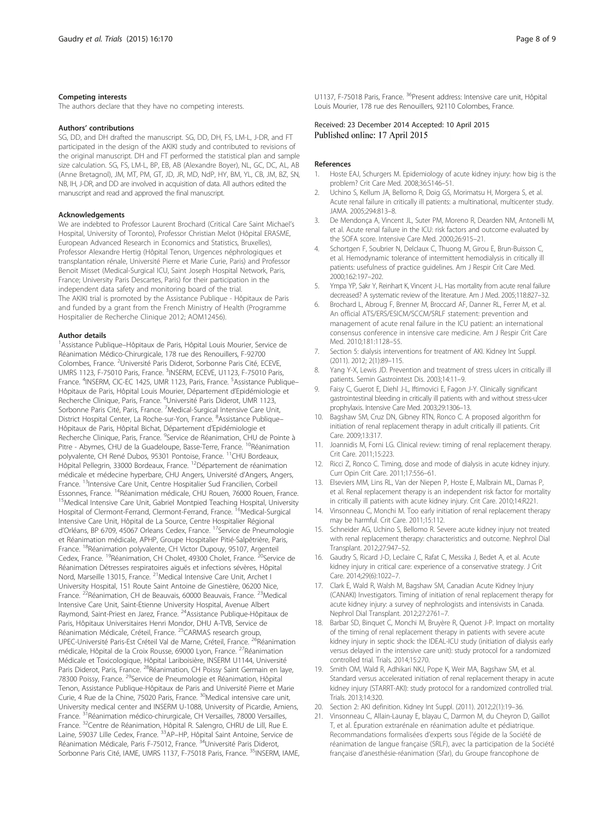#### <span id="page-7-0"></span>Competing interests

The authors declare that they have no competing interests.

#### Authors' contributions

SG, DD, and DH drafted the manuscript. SG, DD, DH, FS, LM-L, J-DR, and FT participated in the design of the AKIKI study and contributed to revisions of the original manuscript. DH and FT performed the statistical plan and sample size calculation. SG, FS, LM-L, BP, EB, AB (Alexandre Boyer), NL, GC, DC, AL, AB (Anne Bretagnol), JM, MT, PM, GT, JD, JR, MD, NdP, HY, BM, YL, CB, JM, BZ, SN, NB, IH, J-DR, and DD are involved in acquisition of data. All authors edited the manuscript and read and approved the final manuscript.

#### Acknowledgements

We are indebted to Professor Laurent Brochard (Critical Care Saint Michael's Hospital, University of Toronto), Professor Christian Melot (Hôpital ERASME, European Advanced Research in Economics and Statistics, Bruxelles), Professor Alexandre Hertig (Hôpital Tenon, Urgences néphrologiques et transplantation rénale, Université Pierre et Marie Curie, Paris) and Professor Benoit Misset (Medical-Surgical ICU, Saint Joseph Hospital Network, Paris, France; University Paris Descartes, Paris) for their participation in the independent data safety and monitoring board of the trial. The AKIKI trial is promoted by the Assistance Publique - Hôpitaux de Paris and funded by a grant from the French Ministry of Health (Programme Hospitalier de Recherche Clinique 2012; AOM12456).

#### Author details

1 Assistance Publique–Hôpitaux de Paris, Hôpital Louis Mourier, Service de Réanimation Médico-Chirurgicale, 178 rue des Renouillers, F-92700 Colombes, France. <sup>2</sup>Université Paris Diderot, Sorbonne Paris Cité, ECEVE, UMRS 1123, F-75010 Paris, France. <sup>3</sup>INSERM, ECEVE, U1123, F-75010 Paris, France. <sup>4</sup>INSERM, CIC-EC 1425, UMR 1123, Paris, France. <sup>5</sup>Assistance Publique– Hôpitaux de Paris, Hôpital Louis Mourier, Département d'Epidémiologie et Recherche Clinique, Paris, France. <sup>6</sup>Université Paris Diderot, UMR 1123, Sorbonne Paris Cité, Paris, France. <sup>7</sup>Medical-Surgical Intensive Care Unit, District Hospital Center, La Roche-sur-Yon, France. <sup>8</sup>Assistance Publique-Hôpitaux de Paris, Hôpital Bichat, Département d'Epidémiologie et Recherche Clinique, Paris, France. <sup>9</sup>Service de Réanimation, CHU de Pointe à Pitre - Abymes, CHU de la Guadeloupe, Basse-Terre, France. <sup>10</sup>Réanimation polyvalente, CH René Dubos, 95301 Pontoise, France. 11CHU Bordeaux, Hôpital Pellegrin, 33000 Bordeaux, France. <sup>12</sup>Département de réanimation médicale et médecine hyperbare, CHU Angers, Université d'Angers, Angers, France. 13Intensive Care Unit, Centre Hospitalier Sud Francilien, Corbeil Essonnes, France. <sup>14</sup>Réanimation médicale, CHU Rouen, 76000 Rouen, France.<br><sup>15</sup>Medical Intensive Care Unit, Gabriel Montpied Teaching Hospital, University Hospital of Clermont-Ferrand, Clermont-Ferrand, France. <sup>16</sup>Medical-Surgical Intensive Care Unit, Hôpital de La Source, Centre Hospitalier Régional d'Orléans, BP 6709, 45067 Orleans Cedex, France. 17Service de Pneumologie et Réanimation médicale, APHP, Groupe Hospitalier Pitié-Salpêtrière, Paris, France. 18Réanimation polyvalente, CH Victor Dupouy, 95107, Argenteil Cedex, France. <sup>19</sup>Réanimation, CH Cholet, 49300 Cholet, France. <sup>20</sup>Service de Réanimation Détresses respiratoires aiguës et infections sévères, Hôpital Nord, Marseille 13015, France. <sup>21</sup> Medical Intensive Care Unit, Archet I University Hospital, 151 Route Saint Antoine de Ginestière, 06200 Nice, France. <sup>22</sup>Réanimation, CH de Beauvais, 60000 Beauvais, France. <sup>23</sup>Medical Intensive Care Unit, Saint-Etienne University Hospital, Avenue Albert Raymond, Saint-Priest en Jarez, France. 24Assistance Publique-Hôpitaux de Paris, Hôpitaux Universitaires Henri Mondor, DHU A-TVB, Service de Réanimation Médicale, Créteil, France. 25CARMAS research group, UPEC-Université Paris-Est Créteil Val de Marne, Créteil, France. 26Réanimation médicale, Hôpital de la Croix Rousse, 69000 Lyon, France. 27Réanimation Médicale et Toxicologique, Hôpital Lariboisière, INSERM U1144, Université Paris Diderot, Paris, France. <sup>28</sup>Réanimation, CH Poissy Saint Germain en laye, 78300 Poissy, France. <sup>29</sup>Service de Pneumologie et Réanimation, Hôpital Tenon, Assistance Publique-Hôpitaux de Paris and Université Pierre et Marie<br>Curie, 4 Rue de la Chine, 75020 Paris, France. <sup>30</sup>Medical intensive care unit, University medical center and INSERM U-1088, University of Picardie, Amiens, France. 31Réanimation médico-chirurgicale, CH Versailles, 78000 Versailles, France. 32Centre de Réanimation, Hôpital R. Salengro, CHRU de Lill, Rue E. Laine, 59037 Lille Cedex, France. 33AP–HP, Hôpital Saint Antoine, Service de Réanimation Médicale, Paris F-75012, France. <sup>34</sup>Université Paris Diderot, Sorbonne Paris Cité, IAME, UMRS 1137, F-75018 Paris, France. <sup>35</sup>INSERM, IAME, U1137, F-75018 Paris, France. <sup>36</sup>Present address: Intensive care unit, Hôpital Louis Mourier, 178 rue des Renouillers, 92110 Colombes, France.

#### Received: 23 December 2014 Accepted: 10 April 2015 Published online: 17 April 2015

#### References

- 1. Hoste EAJ, Schurgers M. Epidemiology of acute kidney injury: how big is the problem? Crit Care Med. 2008;36:S146–51.
- 2. Uchino S, Kellum JA, Bellomo R, Doig GS, Morimatsu H, Morgera S, et al. Acute renal failure in critically ill patients: a multinational, multicenter study. JAMA. 2005;294:813–8.
- 3. De Mendonça A, Vincent JL, Suter PM, Moreno R, Dearden NM, Antonelli M, et al. Acute renal failure in the ICU: risk factors and outcome evaluated by the SOFA score. Intensive Care Med. 2000;26:915–21.
- 4. Schortgen F, Soubrier N, Delclaux C, Thuong M, Girou E, Brun-Buisson C, et al. Hemodynamic tolerance of intermittent hemodialysis in critically ill patients: usefulness of practice guidelines. Am J Respir Crit Care Med. 2000;162:197–202.
- 5. Ympa YP, Sakr Y, Reinhart K, Vincent J-L. Has mortality from acute renal failure decreased? A systematic review of the literature. Am J Med. 2005;118:827–32.
- 6. Brochard L, Abroug F, Brenner M, Broccard AF, Danner RL, Ferrer M, et al. An official ATS/ERS/ESICM/SCCM/SRLF statement: prevention and management of acute renal failure in the ICU patient: an international consensus conference in intensive care medicine. Am J Respir Crit Care Med. 2010;181:1128–55.
- 7. Section 5: dialysis interventions for treatment of AKI. Kidney Int Suppl. (2011). 2012; 2(1):89–115.
- 8. Yang Y-X, Lewis JD. Prevention and treatment of stress ulcers in critically ill patients. Semin Gastrointest Dis. 2003;14:11–9.
- 9. Faisy C, Guerot E, Diehl J-L, Iftimovici E, Fagon J-Y. Clinically significant gastrointestinal bleeding in critically ill patients with and without stress-ulcer prophylaxis. Intensive Care Med. 2003;29:1306–13.
- 10. Bagshaw SM, Cruz DN, Gibney RTN, Ronco C. A proposed algorithm for initiation of renal replacement therapy in adult critically ill patients. Crit Care. 2009;13:317.
- 11. Joannidis M, Forni LG. Clinical review: timing of renal replacement therapy. Crit Care. 2011;15:223.
- 12. Ricci Z, Ronco C. Timing, dose and mode of dialysis in acute kidney injury. Curr Opin Crit Care. 2011;17:556–61.
- 13. Elseviers MM, Lins RL, Van der Niepen P, Hoste E, Malbrain ML, Damas P, et al. Renal replacement therapy is an independent risk factor for mortality in critically ill patients with acute kidney injury. Crit Care. 2010;14:R221.
- 14. Vinsonneau C, Monchi M. Too early initiation of renal replacement therapy may be harmful. Crit Care. 2011;15:112.
- 15. Schneider AG, Uchino S, Bellomo R. Severe acute kidney injury not treated with renal replacement therapy: characteristics and outcome. Nephrol Dial Transplant. 2012;27:947–52.
- 16. Gaudry S, Ricard J-D, Leclaire C, Rafat C, Messika J, Bedet A, et al. Acute kidney injury in critical care: experience of a conservative strategy. J Crit Care. 2014;29(6):1022–7.
- 17. Clark E, Wald R, Walsh M, Bagshaw SM, Canadian Acute Kidney Injury (CANAKI) Investigators. Timing of initiation of renal replacement therapy for acute kidney injury: a survey of nephrologists and intensivists in Canada. Nephrol Dial Transplant. 2012;27:2761–7.
- 18. Barbar SD, Binquet C, Monchi M, Bruyère R, Quenot J-P. Impact on mortality of the timing of renal replacement therapy in patients with severe acute kidney injury in septic shock: the IDEAL-ICU study (initiation of dialysis early versus delayed in the intensive care unit): study protocol for a randomized controlled trial. Trials. 2014;15:270.
- 19. Smith OM, Wald R, Adhikari NKJ, Pope K, Weir MA, Bagshaw SM, et al. Standard versus accelerated initiation of renal replacement therapy in acute kidney injury (STARRT-AKI): study protocol for a randomized controlled trial. Trials. 2013;14:320.
- 20. Section 2: AKI definition. Kidney Int Suppl. (2011). 2012;2(1):19–36.
- 21. Vinsonneau C, Allain-Launay E, blayau C, Darmon M, du Cheyron D, Gaillot T, et al. Épuration extrarénale en réanimation adulte et pédiatrique. Recommandations formalisées d'experts sous l'égide de la Société de réanimation de langue française (SRLF), avec la participation de la Société française d'anesthésie-réanimation (Sfar), du Groupe francophone de